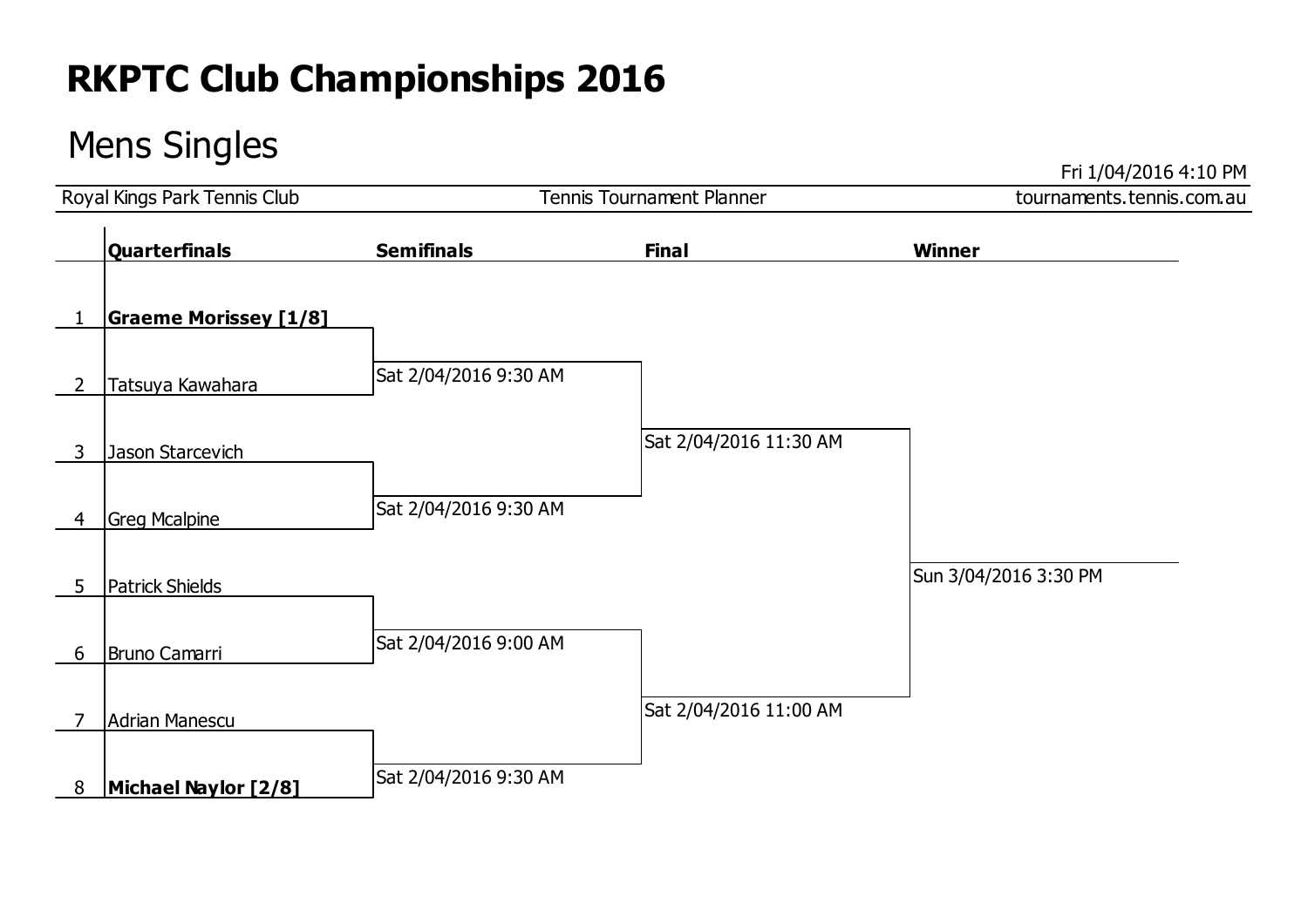### Mens Singles

Fri 1/04/2016 4:10 PM

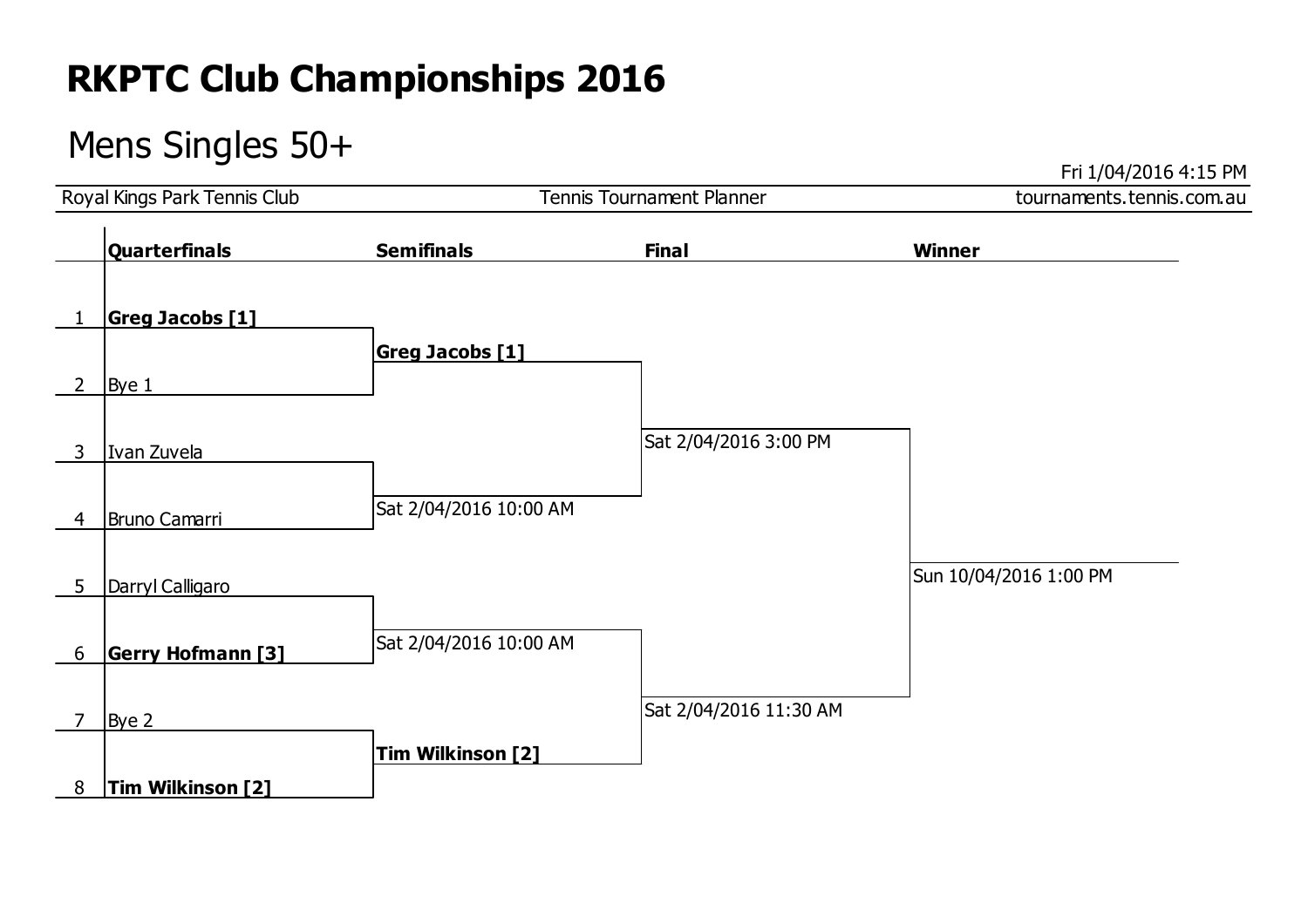### Mens Singles 50+

Fri 1/04/2016 4:15 PM

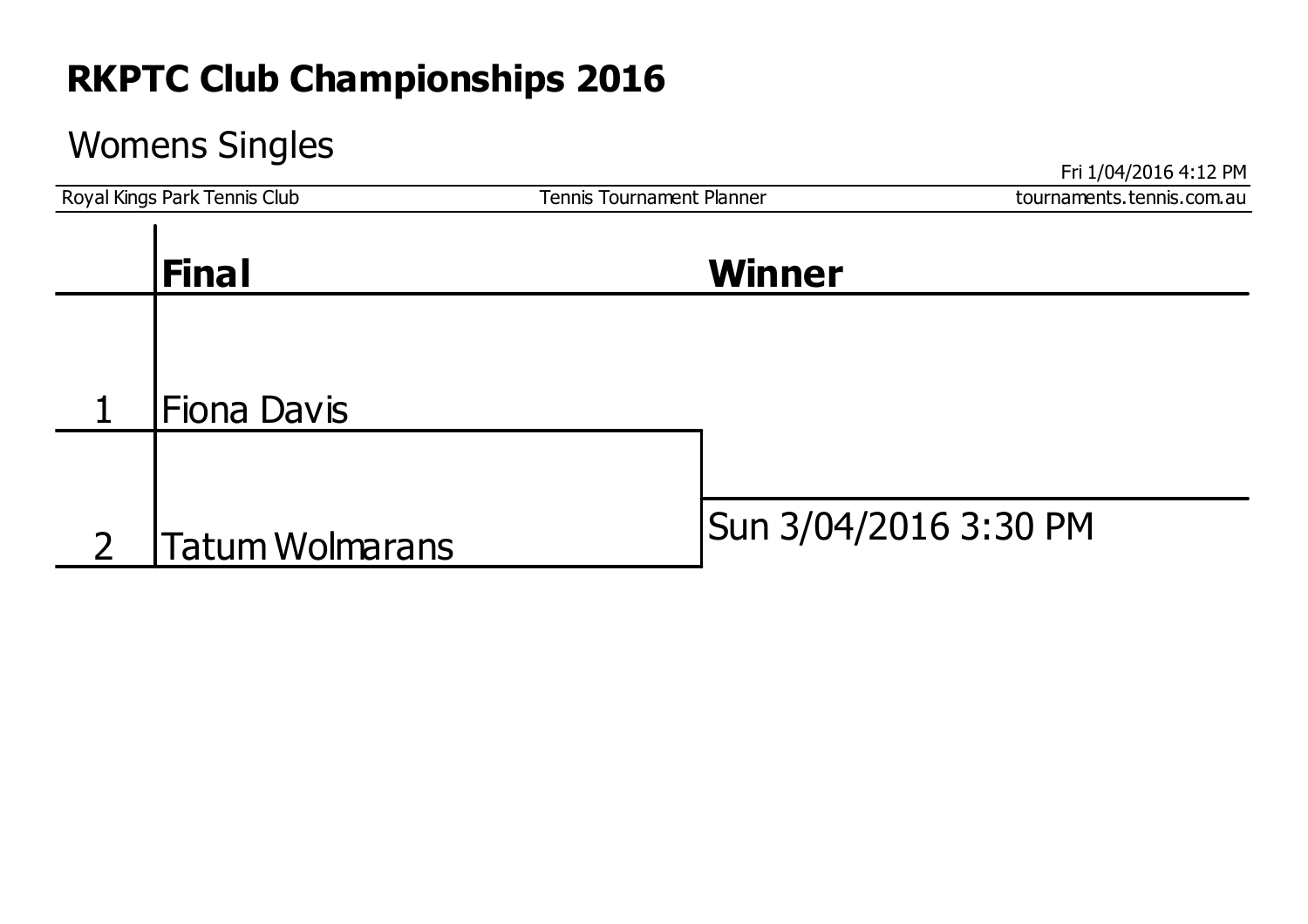### Womens Singles

Fri 1/04/2016 4:12 PM Tennis Tournament Planner Tennis Tournament Planner Tennis Tournament Planner Tennis Cournaments.tennis Com. au **Fiona Davis** 2  $\int$ Tatum Wolmarans  $\int$ Sun 3/04/2016 3:30 PM **Final Winner**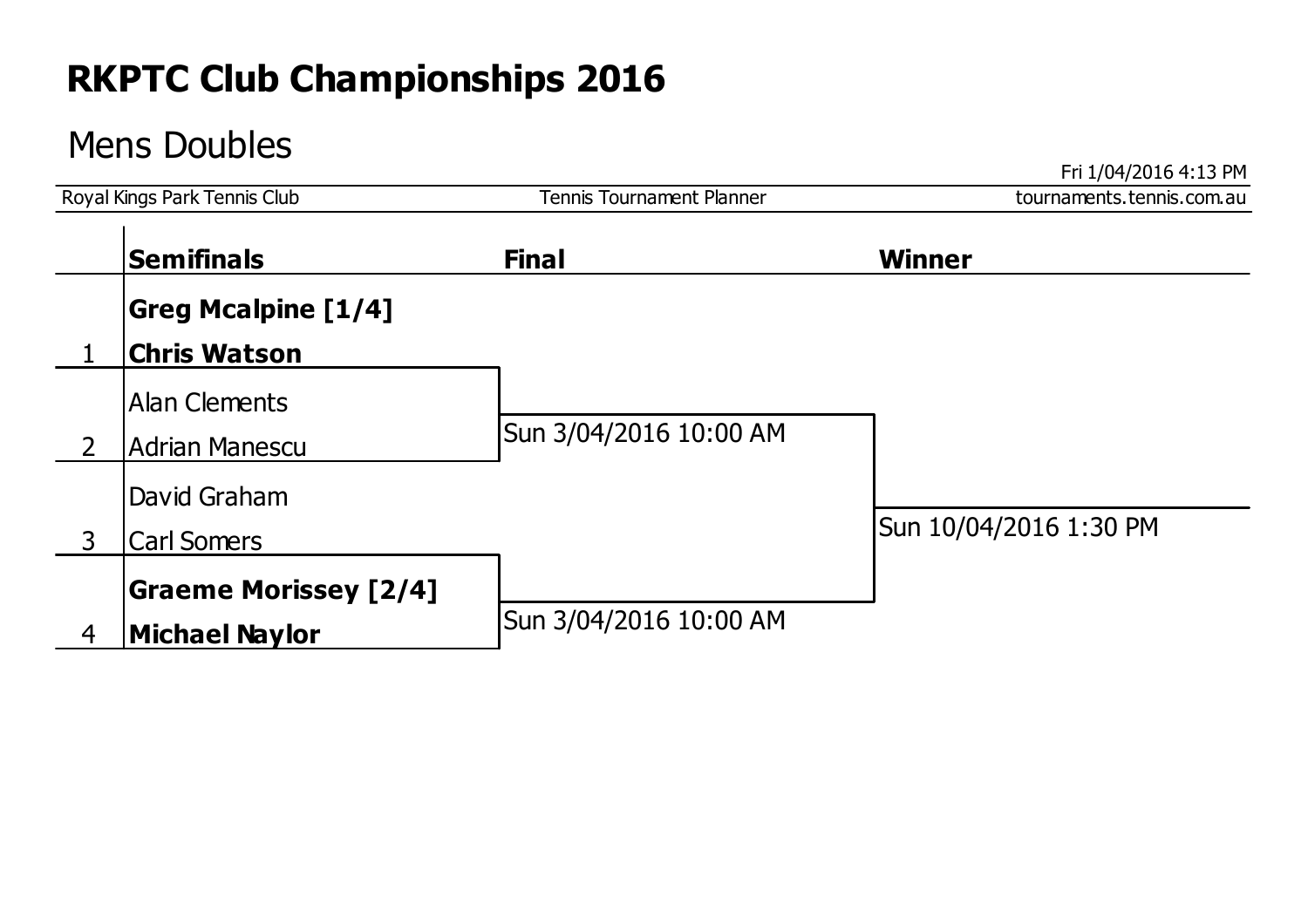### Mens Doubles

Fri 1/04/2016 4:13 PM Tennis Tournament Planner and Tennis Tournament Planner and Tennis Tournament Planner and Tennis Community Park Tennis Community Park Tennis Community Park Tennis Community Park Tennis Community Park Tennis Community Park **Greg Mcalpine [1/4]** 1 **Chris Watson** Alan Clements 2 Adrian Manescu Sun 3/04/2016 10:00 AM David Graham 3 Carl Somers Sun 10/04/2016 1:30 PM **Graeme Morissey [2/4]** 4 | **Michael Naylor** Sun 3/04/2016 10:00 AM **Semifinals Final Winner**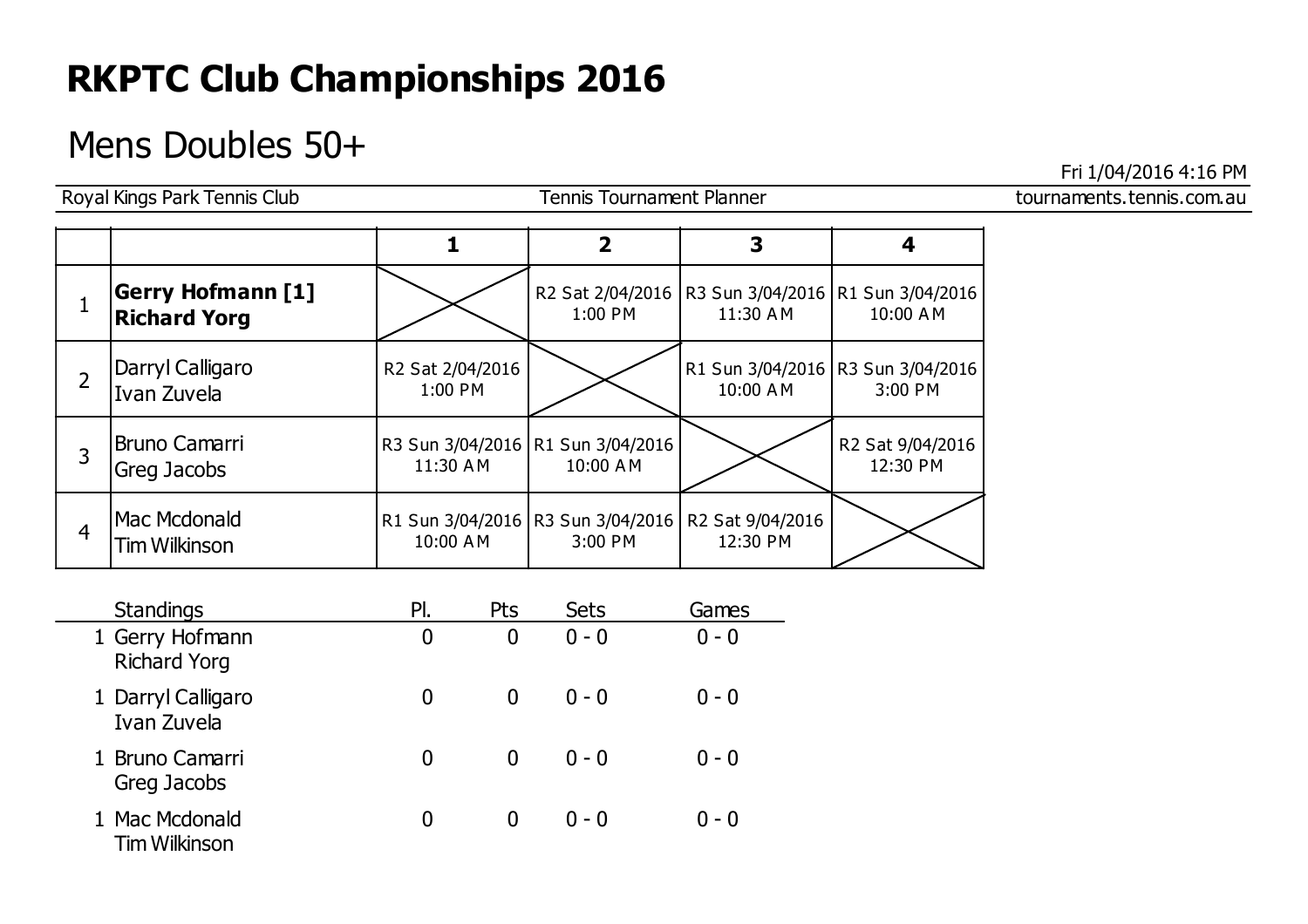### Mens Doubles 50+

Royal Kings Park Tennis Club **Tennis Tournament Planner** Class Communications and Tennis Communications of Tennis Tournament Planner

Fri 1/04/2016 4:16 PM

|                |                                                 |                             | $\overline{\mathbf{2}}$                          | 3                                                                  | 4                                              |
|----------------|-------------------------------------------------|-----------------------------|--------------------------------------------------|--------------------------------------------------------------------|------------------------------------------------|
|                | <b>Gerry Hofmann [1]</b><br><b>Richard Yorg</b> |                             | 1:00 PM                                          | R2 Sat 2/04/2016   R3 Sun 3/04/2016   R1 Sun 3/04/2016<br>11:30 AM | 10:00 AM                                       |
| $\overline{2}$ | Darryl Calligaro<br>Ivan Zuvela                 | R2 Sat 2/04/2016<br>1:00 PM |                                                  | 10:00 AM                                                           | R1 Sun 3/04/2016   R3 Sun 3/04/2016<br>3:00 PM |
| 3              | <b>Bruno Camarri</b><br>Greg Jacobs             | 11:30 AM                    | R3 Sun 3/04/2016 R1 Sun 3/04/2016<br>10:00 AM    |                                                                    | R2 Sat 9/04/2016<br>12:30 PM                   |
| $\overline{4}$ | Mac Mcdonald<br>Tim Wilkinson                   | 10:00 AM                    | R1 Sun 3/04/2016   R3 Sun 3/04/2016  <br>3:00 PM | R2 Sat 9/04/2016<br>12:30 PM                                       |                                                |

| <b>Standings</b>                       | Pl. | Pts      | <b>Sets</b> | Games   |
|----------------------------------------|-----|----------|-------------|---------|
| 1 Gerry Hofmann<br><b>Richard Yorg</b> | 0   | 0        | $0 - 0$     | $0 - 0$ |
| 1 Darryl Calligaro<br>Ivan Zuvela      | 0   | 0        | $0 - 0$     | $0 - 0$ |
| 1 Bruno Camarri<br>Greg Jacobs         | 0   | $\Omega$ | $0 - 0$     | $0 - 0$ |
| 1 Mac Mcdonald<br><b>Tim Wilkinson</b> | 0   |          | $0 - 0$     | $0 - 0$ |

|  | דו טביר טבטבין טן בורו                                  |  |  |  |  |
|--|---------------------------------------------------------|--|--|--|--|
|  | المناصب والمستحيل والمتمر والمستنقل والمستحدد والمستندر |  |  |  |  |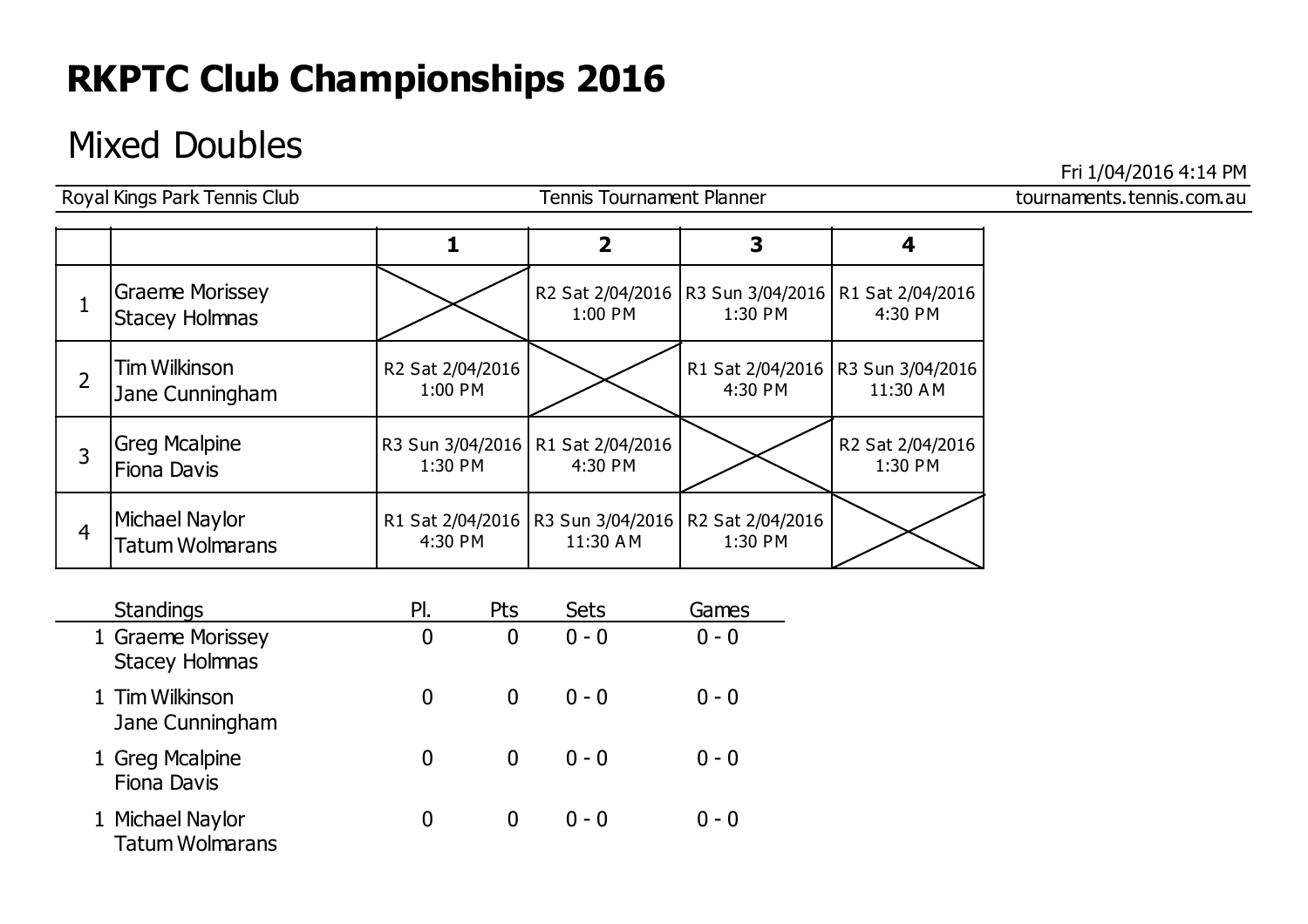### Mixed Doubles

Royal Kings Park Tennis Club Tennis Tournament Planner and Tennis Tournament School and Tennis Com.au Graeme Morissey Stacey Holmnas 4:30 PM 1 R2 Sat 2/04/2016 R3 Sun 3/04/2016 R1 Sat 2/04/2016 1:00 PM 1:30 PM Tim Wilkinson 2 Jane Cunningham  $1:00 \text{ PM}$   $2 \times 300 \times 2000$   $300 \times 2000$   $4:30 \text{ PM}$   $11:30 \text{ AM}$ R2 Sat 2/04/2016 1:00 PM R1 Sat 2/04/2016 R3 Sun 3/04/2016 4:30 PM Greg Mcalpine Fiona Davis R3 Sun 3/04/2016 R1 Sat 2/04/2016 1:30 PM 4:30 PM R2 Sat 2/04/2016 3 | Greg Healpine |  $\begin{bmatrix} 1.30 P M \\ 1.30 P M \end{bmatrix}$  |  $\begin{bmatrix} 1.1 \ 3.30 P M \\ 4.30 P M \end{bmatrix}$  |  $\begin{bmatrix} 1.2 \ 3.30 P M \\ 1.30 P M \end{bmatrix}$  |  $\begin{bmatrix} 1.2 \ 3.30 P M \\ 1.30 P M \end{bmatrix}$ Michael Naylor  $\begin{array}{|c|c|c|c|c|c|}\n 4 & \text{Truncivity} & \text{or} & \text{Truncivity} & \text{Truncivity} & \text{Truncivity} & \text{Truncivity} & \text{Truncivity} & \text{Truncivity} & \text{Truncivity} & \text{Truncivity} & \text{Truncivity} & \text{Truncivity} & \text{Truncivity} & \text{Truncivity} & \text{Truncivity} & \text{Truncivity} & \text{Truncivity} & \text{Truncivity} & \text{Truncivity} & \text{Truncivity} & \text{Truncivity} & \text{Truncivity} & \text{Truncivity} & \text{Truncivity} & \text{Truncivity}$ R1 Sat 2/04/2016 4:30 PM R3 Sun 3/04/2016 R2 Sat 2/04/2016 11:30 A M **1 2 3 4**

| <b>Standings</b>                           | Pl. | Pts | <b>Sets</b> | Games   |
|--------------------------------------------|-----|-----|-------------|---------|
| 1 Graeme Morissey<br><b>Stacey Holmnas</b> | 0   | 0   | $0 - 0$     | $0 - 0$ |
| 1 Tim Wilkinson<br>Jane Cunningham         |     | 0   | $0 - 0$     | $0 - 0$ |
| 1 Greg Mcalpine<br><b>Fiona Davis</b>      | 0   | 0   | $0 - 0$     | $0 - 0$ |
| 1 Michael Naylor<br><b>Tatum Wolmarans</b> |     | O   | $0 - 0$     | $0 - 0$ |

Fri 1/04/2016 4:14 PM